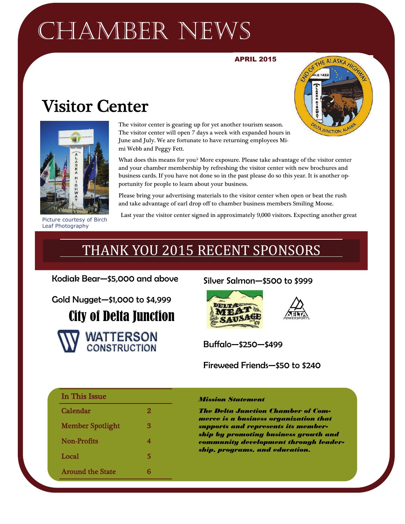## CHAMBER NEWS

#### APRIL 2015

## Visitor Center





Picture courtesy of Birch Leaf Photography

The visitor center is gearing up for yet another tourism season. The visitor center will open 7 days a week with expanded hours in June and July. We are fortunate to have returning employees Mimi Webb and Peggy Fett.

What does this means for you? More exposure. Please take advantage of the visitor center and your chamber membership by refreshing the visitor center with new brochures and business cards. If you have not done so in the past please do so this year. It is another opportunity for people to learn about your business.

Please bring your advertising materials to the visitor center when open or beat the rush and take advantage of earl drop off to chamber business members Smiling Moose.

Last year the visitor center signed in approximately 9,000 visitors. Expecting another great

## THANK YOU 2015 RECENT SPONSORS

Kodiak Bear—\$5,000 and above

Gold Nugget—\$1,000 to \$4,999

City of Delta Junction



#### Silver Salmon—\$500 to \$999





Buffalo—\$250—\$499

Fireweed Friends—\$50 to \$240

| In This Issue           |   |
|-------------------------|---|
| Calendar                | 2 |
| <b>Member Spotlight</b> | 3 |
| Non-Profits             | 4 |
| Local                   | 5 |
| <b>Around the State</b> | R |

#### *Mission Statement*

*The Delta Junction Chamber of Commerce is a business organization that supports and represents its membership by promoting business growth and community development through leadership, programs, and education.*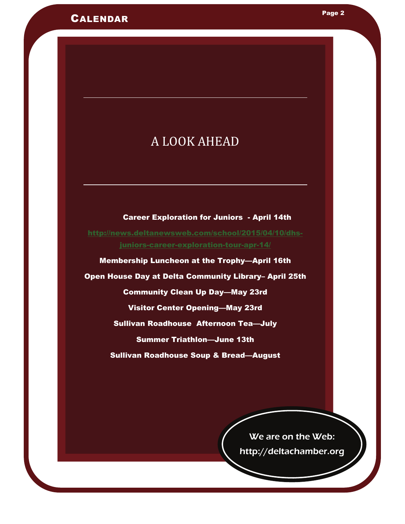## A LOOK AHEAD

LOCAL Page 2

 Career Exploration for Juniors - April 14th [http://news.deltanewsweb.com/school/2015/04/10/dhs](http://news.deltanewsweb.com/school/2015/04/10/dhs-juniors-career-exploration-tour-apr-14/)[juniors-career-exploration-tour-apr-14/](http://news.deltanewsweb.com/school/2015/04/10/dhs-juniors-career-exploration-tour-apr-14/)

Membership Luncheon at the Trophy—April 16th Open House Day at Delta Community Library– April 25th Community Clean Up Day—May 23rd Visitor Center Opening—May 23rd Sullivan Roadhouse Afternoon Tea—July Summer Triathlon—June 13th

Sullivan Roadhouse Soup & Bread—August

We are on the Web: http://deltachamber.org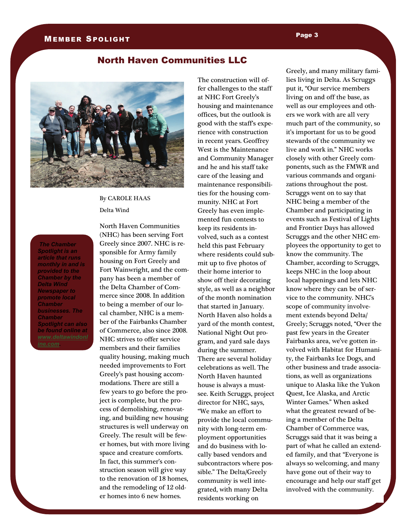#### MEMBER SPOLIGHT

#### North Haven Communities LLC



By CAROLE HAAS Delta Wind

*The Chamber Spotlight is an article that runs monthly in and is provided to the Chamber by the Delta Wind Newspaper to promote local Chamber businesses. The Chamber Spotlight can also be found online at [ine.com.](http://www.deltawindonline.com)* 

North Haven Communities (NHC) has been serving Fort Greely since 2007. NHC is responsible for Army family housing on Fort Greely and Fort Wainwright, and the company has been a member of the Delta Chamber of Commerce since 2008. In addition to being a member of our local chamber, NHC is a member of the Fairbanks Chamber of Commerce, also since 2008. NHC strives to offer service members and their families quality housing, making much needed improvements to Fort Greely's past housing accommodations. There are still a few years to go before the project is complete, but the process of demolishing, renovating, and building new housing structures is well underway on Greely. The result will be fewer homes, but with more living space and creature comforts. In fact, this summer's construction season will give way to the renovation of 18 homes, and the remodeling of 12 older homes into 6 new homes.

The construction will offer challenges to the staff at NHC Fort Greely's housing and maintenance offices, but the outlook is good with the staff's experience with construction in recent years. Geoffrey West is the Maintenance and Community Manager and he and his staff take care of the leasing and maintenance responsibilities for the housing community. NHC at Fort Greely has even implemented fun contests to keep its residents involved, such as a contest held this past February where residents could submit up to five photos of their home interior to show off their decorating style, as well as a neighbor of the month nomination that started in January. North Haven also holds a yard of the month contest, National Night Out program, and yard sale days during the summer. There are several holiday celebrations as well. The North Haven haunted house is always a mustsee. Keith Scruggs, project director for NHC, says, "We make an effort to provide the local community with long-term employment opportunities and do business with locally based vendors and subcontractors where possible." The Delta/Greely community is well integrated, with many Delta residents working on

Greely, and many military families living in Delta. As Scruggs put it, "Our service members living on and off the base, as well as our employees and others we work with are all very much part of the community, so it's important for us to be good stewards of the community we live and work in." NHC works closely with other Greely components, such as the FMWR and various commands and organizations throughout the post. Scruggs went on to say that NHC being a member of the Chamber and participating in events such as Festival of Lights and Frontier Days has allowed Scruggs and the other NHC employees the opportunity to get to know the community. The Chamber, according to Scruggs, keeps NHC in the loop about local happenings and lets NHC know where they can be of service to the community. NHC's scope of community involvement extends beyond Delta/ Greely; Scruggs noted, "Over the past few years in the Greater Fairbanks area, we've gotten involved with Habitat for Humanity, the Fairbanks Ice Dogs, and other business and trade associations, as well as organizations unique to Alaska like the Yukon Quest, Ice Alaska, and Arctic Winter Games." When asked what the greatest reward of being a member of the Delta Chamber of Commerce was, Scruggs said that it was being a part of what he called an extended family, and that "Everyone is always so welcoming, and many have gone out of their way to encourage and help our staff get involved with the community.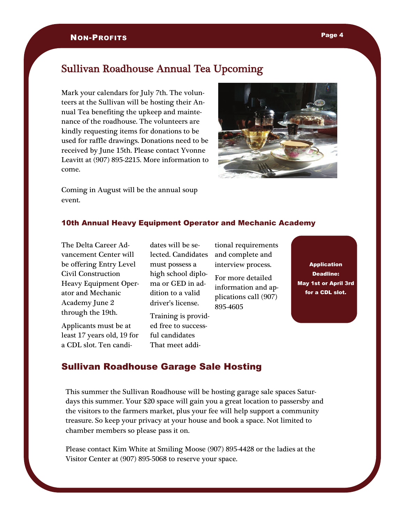#### NON-PROFITS

#### Sullivan Roadhouse Annual Tea Upcoming

Mark your calendars for July 7th. The volunteers at the Sullivan will be hosting their Annual Tea benefiting the upkeep and maintenance of the roadhouse. The volunteers are kindly requesting items for donations to be used for raffle drawings. Donations need to be received by June 15th. Please contact Yvonne Leavitt at (907) 895-2215. More information to come.



Coming in August will be the annual soup event.

#### 10th Annual Heavy Equipment Operator and Mechanic Academy

The Delta Career Advancement Center will be offering Entry Level Civil Construction Heavy Equipment Operator and Mechanic Academy June 2 through the 19th.

Applicants must be at least 17 years old, 19 for a CDL slot. Ten candidates will be selected. Candidates must possess a high school diploma or GED in addition to a valid driver's license.

Training is provided free to successful candidates That meet additional requirements and complete and interview process.

For more detailed information and applications call (907) 895-4605

Application Deadline: May 1st or April 3rd for a CDL slot.

#### Sullivan Roadhouse Garage Sale Hosting

This summer the Sullivan Roadhouse will be hosting garage sale spaces Saturdays this summer. Your \$20 space will gain you a great location to passersby and the visitors to the farmers market, plus your fee will help support a community treasure. So keep your privacy at your house and book a space. Not limited to chamber members so please pass it on.

Please contact Kim White at Smiling Moose (907) 895-4428 or the ladies at the Visitor Center at (907) 895-5068 to reserve your space.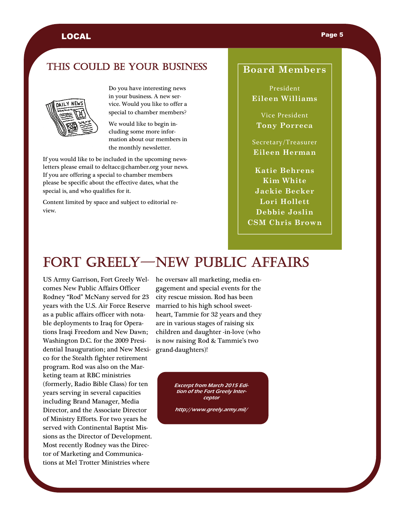#### LOCAL Property of the contract of the contract of the contract of the contract of the contract of the contract of the contract of the contract of the contract of the contract of the contract of the contract of the contract

#### THIS COULD BE YOUR BUSINESS



Do you have interesting news in your business. A new service. Would you like to offer a special to chamber members?

We would like to begin including some more information about our members in the monthly newsletter.

If you would like to be included in the upcoming newsletters please email to deltacc@chamber.org your news. If you are offering a special to chamber members please be specific about the effective dates, what the special is, and who qualifies for it.

Content limited by space and subject to editorial review.

#### **Board Members**

President **Eileen Williams** 

Vice President **Tony Porreca** 

Secretary/Treasurer **Eileen Herman**

**Katie Behrens Kim White Jackie Becker Lori Hollett Debbie Joslin CSM Chris Brown** 

## FORT GREELY—NEW PUBLIC AFFAIRS

US Army Garrison, Fort Greely Welcomes New Public Affairs Officer Rodney "Rod" McNany served for 23 years with the U.S. Air Force Reserve as a public affairs officer with notable deployments to Iraq for Operations Iraqi Freedom and New Dawn; Washington D.C. for the 2009 Presidential Inauguration; and New Mexico for the Stealth fighter retirement program. Rod was also on the Marketing team at RBC ministries (formerly, Radio Bible Class) for ten years serving in several capacities including Brand Manager, Media Director, and the Associate Director of Ministry Efforts. For two years he served with Continental Baptist Missions as the Director of Development. Most recently Rodney was the Director of Marketing and Communications at Mel Trotter Ministries where

he oversaw all marketing, media engagement and special events for the city rescue mission. Rod has been married to his high school sweetheart, Tammie for 32 years and they are in various stages of raising six children and daughter -in-love (who is now raising Rod & Tammie's two grand-daughters)!

> Excerpt from March 2015 Edition of the Fort Greely Interceptor

http://www.greely.army.mil/